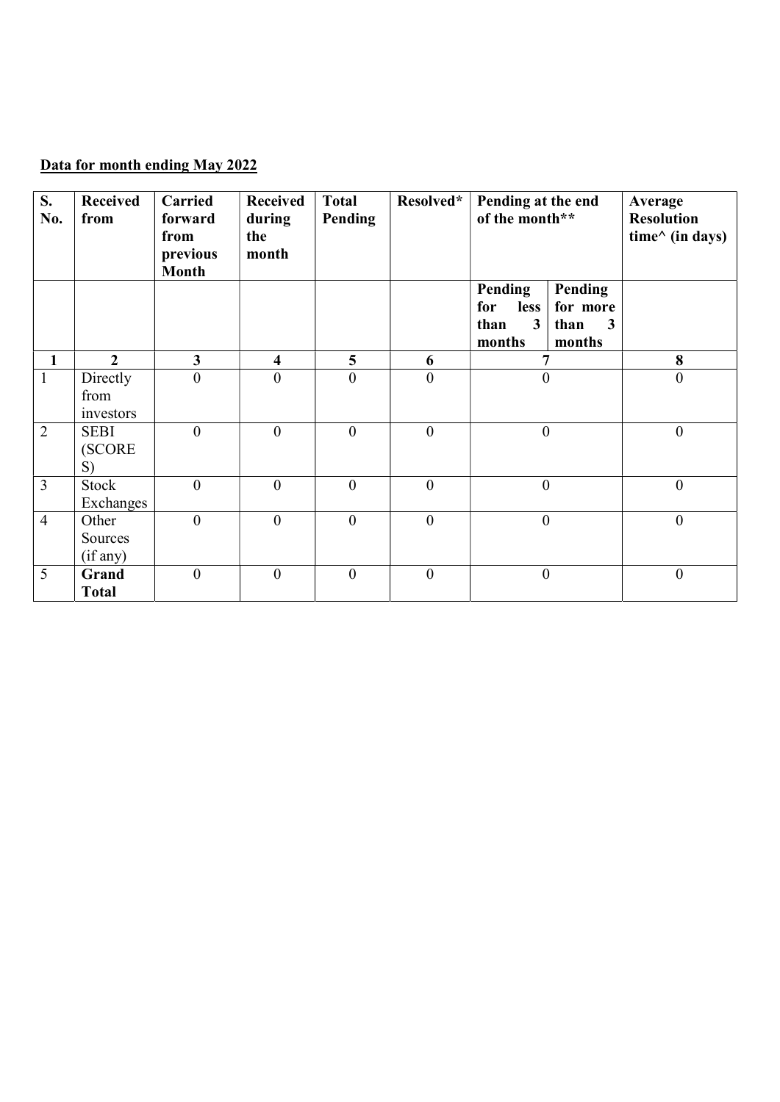## Data for month ending May 2022

| S.<br>No.      | <b>Received</b><br>from       | Carried<br>forward<br>from<br>previous<br><b>Month</b> | <b>Received</b><br>during<br>the<br>month | <b>Total</b><br>Pending | Resolved*        | Pending at the end<br>of the month**                              |                                                       | Average<br><b>Resolution</b><br>time $\wedge$ (in days) |
|----------------|-------------------------------|--------------------------------------------------------|-------------------------------------------|-------------------------|------------------|-------------------------------------------------------------------|-------------------------------------------------------|---------------------------------------------------------|
|                |                               |                                                        |                                           |                         |                  | Pending<br>for<br><b>less</b><br>3 <sup>1</sup><br>than<br>months | Pending<br>for more<br>$\mathbf{3}$<br>than<br>months |                                                         |
| $\mathbf{1}$   | $\overline{2}$                | $\overline{\mathbf{3}}$                                | $\overline{\mathbf{4}}$                   | 5                       | 6                | $\overline{7}$                                                    |                                                       | 8                                                       |
| $\mathbf{1}$   | Directly<br>from<br>investors | $\overline{0}$                                         | $\theta$                                  | $\mathbf{0}$            | $\mathbf{0}$     | $\boldsymbol{0}$                                                  |                                                       | $\overline{0}$                                          |
| $\overline{2}$ | <b>SEBI</b><br>(SCORE<br>S)   | $\overline{0}$                                         | $\boldsymbol{0}$                          | $\boldsymbol{0}$        | $\boldsymbol{0}$ | $\boldsymbol{0}$                                                  |                                                       | $\boldsymbol{0}$                                        |
| $\overline{3}$ | Stock<br>Exchanges            | $\overline{0}$                                         | $\boldsymbol{0}$                          | $\boldsymbol{0}$        | $\boldsymbol{0}$ | $\boldsymbol{0}$                                                  |                                                       | $\boldsymbol{0}$                                        |
| $\overline{4}$ | Other<br>Sources<br>(if any)  | $\overline{0}$                                         | $\overline{0}$                            | $\mathbf{0}$            | $\boldsymbol{0}$ | $\boldsymbol{0}$                                                  |                                                       | $\boldsymbol{0}$                                        |
| 5              | Grand<br><b>Total</b>         | $\mathbf{0}$                                           | $\theta$                                  | $\boldsymbol{0}$        | $\boldsymbol{0}$ | $\boldsymbol{0}$                                                  |                                                       | $\boldsymbol{0}$                                        |